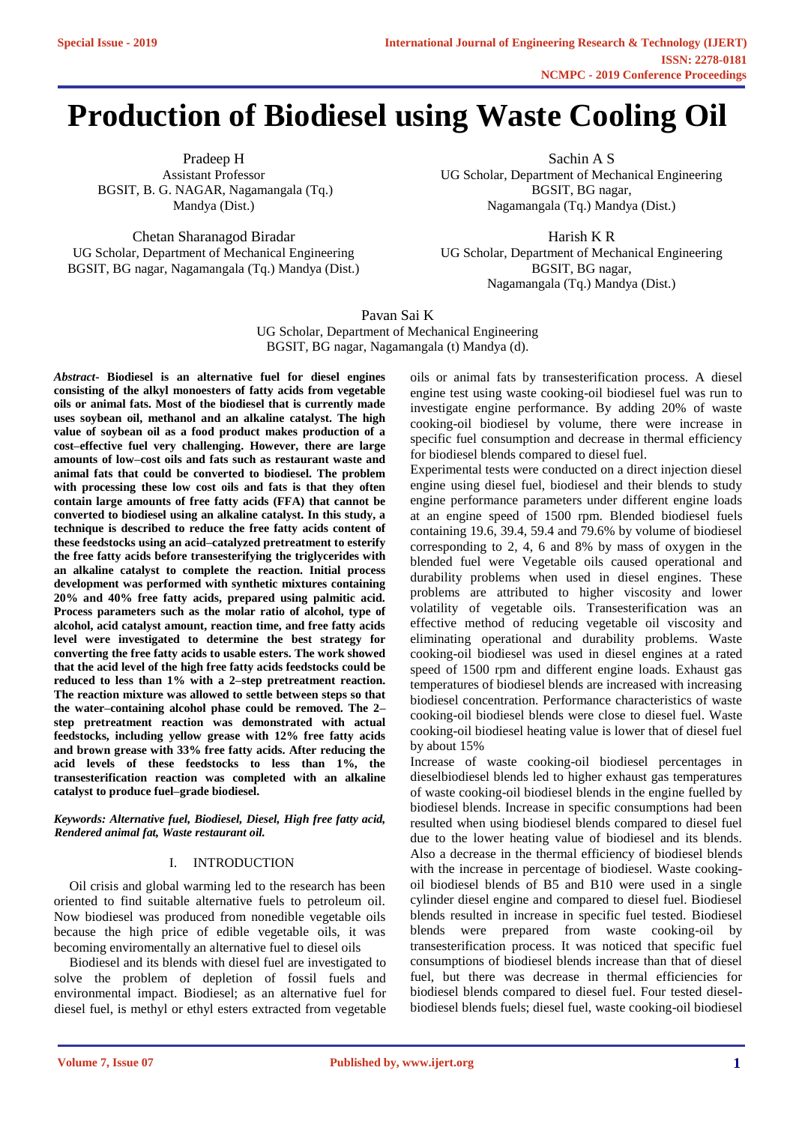# **Production of Biodiesel using Waste Cooling Oil**

Pradeep H Assistant Professor BGSIT, B. G. NAGAR, Nagamangala (Tq.) Mandya (Dist.)

Chetan Sharanagod Biradar UG Scholar, Department of Mechanical Engineering BGSIT, BG nagar, Nagamangala (Tq.) Mandya (Dist.)

Sachin A S UG Scholar, Department of Mechanical Engineering BGSIT, BG nagar, Nagamangala (Tq.) Mandya (Dist.)

Harish K R UG Scholar, Department of Mechanical Engineering BGSIT, BG nagar, Nagamangala (Tq.) Mandya (Dist.)

Pavan Sai K UG Scholar, Department of Mechanical Engineering BGSIT, BG nagar, Nagamangala (t) Mandya (d).

*Abstract***- Biodiesel is an alternative fuel for diesel engines consisting of the alkyl monoesters of fatty acids from vegetable oils or animal fats. Most of the biodiesel that is currently made uses soybean oil, methanol and an alkaline catalyst. The high value of soybean oil as a food product makes production of a cost–effective fuel very challenging. However, there are large amounts of low–cost oils and fats such as restaurant waste and animal fats that could be converted to biodiesel. The problem with processing these low cost oils and fats is that they often contain large amounts of free fatty acids (FFA) that cannot be converted to biodiesel using an alkaline catalyst. In this study, a technique is described to reduce the free fatty acids content of these feedstocks using an acid–catalyzed pretreatment to esterify the free fatty acids before transesterifying the triglycerides with an alkaline catalyst to complete the reaction. Initial process development was performed with synthetic mixtures containing 20% and 40% free fatty acids, prepared using palmitic acid. Process parameters such as the molar ratio of alcohol, type of alcohol, acid catalyst amount, reaction time, and free fatty acids level were investigated to determine the best strategy for converting the free fatty acids to usable esters. The work showed that the acid level of the high free fatty acids feedstocks could be reduced to less than 1% with a 2–step pretreatment reaction. The reaction mixture was allowed to settle between steps so that the water–containing alcohol phase could be removed. The 2– step pretreatment reaction was demonstrated with actual feedstocks, including yellow grease with 12% free fatty acids and brown grease with 33% free fatty acids. After reducing the acid levels of these feedstocks to less than 1%, the transesterification reaction was completed with an alkaline catalyst to produce fuel–grade biodiesel.**

*Keywords: Alternative fuel, Biodiesel, Diesel, High free fatty acid, Rendered animal fat, Waste restaurant oil.* 

## I. INTRODUCTION

Oil crisis and global warming led to the research has been oriented to find suitable alternative fuels to petroleum oil. Now biodiesel was produced from nonedible vegetable oils because the high price of edible vegetable oils, it was becoming enviromentally an alternative fuel to diesel oils

Biodiesel and its blends with diesel fuel are investigated to solve the problem of depletion of fossil fuels and environmental impact. Biodiesel; as an alternative fuel for diesel fuel, is methyl or ethyl esters extracted from vegetable

oils or animal fats by transesterification process. A diesel engine test using waste cooking-oil biodiesel fuel was run to investigate engine performance. By adding 20% of waste cooking-oil biodiesel by volume, there were increase in specific fuel consumption and decrease in thermal efficiency for biodiesel blends compared to diesel fuel.

Experimental tests were conducted on a direct injection diesel engine using diesel fuel, biodiesel and their blends to study engine performance parameters under different engine loads at an engine speed of 1500 rpm. Blended biodiesel fuels containing 19.6, 39.4, 59.4 and 79.6% by volume of biodiesel corresponding to 2, 4, 6 and 8% by mass of oxygen in the blended fuel were Vegetable oils caused operational and durability problems when used in diesel engines. These problems are attributed to higher viscosity and lower volatility of vegetable oils. Transesterification was an effective method of reducing vegetable oil viscosity and eliminating operational and durability problems. Waste cooking-oil biodiesel was used in diesel engines at a rated speed of 1500 rpm and different engine loads. Exhaust gas temperatures of biodiesel blends are increased with increasing biodiesel concentration. Performance characteristics of waste cooking-oil biodiesel blends were close to diesel fuel. Waste cooking-oil biodiesel heating value is lower that of diesel fuel by about 15%

Increase of waste cooking-oil biodiesel percentages in dieselbiodiesel blends led to higher exhaust gas temperatures of waste cooking-oil biodiesel blends in the engine fuelled by biodiesel blends. Increase in specific consumptions had been resulted when using biodiesel blends compared to diesel fuel due to the lower heating value of biodiesel and its blends. Also a decrease in the thermal efficiency of biodiesel blends with the increase in percentage of biodiesel. Waste cookingoil biodiesel blends of B5 and B10 were used in a single cylinder diesel engine and compared to diesel fuel. Biodiesel blends resulted in increase in specific fuel tested. Biodiesel blends were prepared from waste cooking-oil by transesterification process. It was noticed that specific fuel consumptions of biodiesel blends increase than that of diesel fuel, but there was decrease in thermal efficiencies for biodiesel blends compared to diesel fuel. Four tested dieselbiodiesel blends fuels; diesel fuel, waste cooking-oil biodiesel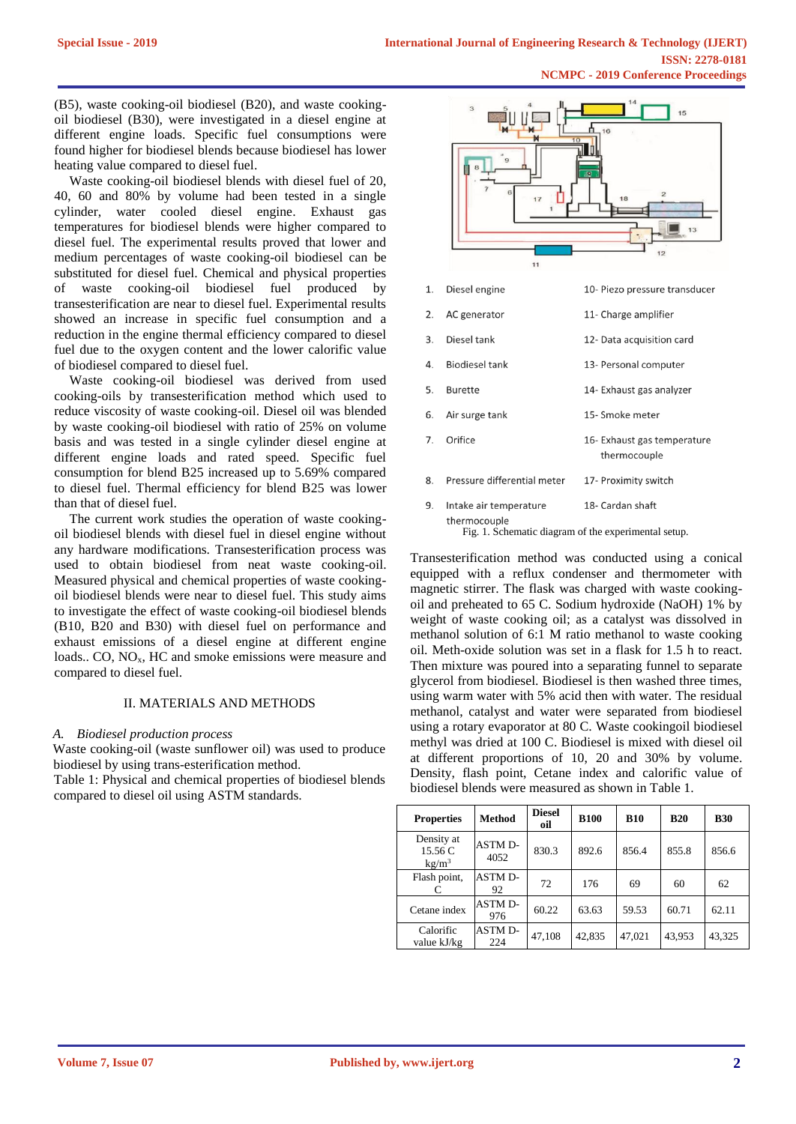(B5), waste cooking-oil biodiesel (B20), and waste cookingoil biodiesel (B30), were investigated in a diesel engine at different engine loads. Specific fuel consumptions were found higher for biodiesel blends because biodiesel has lower heating value compared to diesel fuel.

Waste cooking-oil biodiesel blends with diesel fuel of 20, 40, 60 and 80% by volume had been tested in a single cylinder, water cooled diesel engine. Exhaust gas temperatures for biodiesel blends were higher compared to diesel fuel. The experimental results proved that lower and medium percentages of waste cooking-oil biodiesel can be substituted for diesel fuel. Chemical and physical properties of waste cooking-oil biodiesel fuel produced by transesterification are near to diesel fuel. Experimental results showed an increase in specific fuel consumption and a reduction in the engine thermal efficiency compared to diesel fuel due to the oxygen content and the lower calorific value of biodiesel compared to diesel fuel.

Waste cooking-oil biodiesel was derived from used cooking-oils by transesterification method which used to reduce viscosity of waste cooking-oil. Diesel oil was blended by waste cooking-oil biodiesel with ratio of 25% on volume basis and was tested in a single cylinder diesel engine at different engine loads and rated speed. Specific fuel consumption for blend B25 increased up to 5.69% compared to diesel fuel. Thermal efficiency for blend B25 was lower than that of diesel fuel.

The current work studies the operation of waste cookingoil biodiesel blends with diesel fuel in diesel engine without any hardware modifications. Transesterification process was used to obtain biodiesel from neat waste cooking-oil. Measured physical and chemical properties of waste cookingoil biodiesel blends were near to diesel fuel. This study aims to investigate the effect of waste cooking-oil biodiesel blends (B10, B20 and B30) with diesel fuel on performance and exhaust emissions of a diesel engine at different engine loads.. CO, NO<sub>x</sub>, HC and smoke emissions were measure and compared to diesel fuel.

## II. MATERIALS AND METHODS

## *A. Biodiesel production process*

Waste cooking-oil (waste sunflower oil) was used to produce biodiesel by using trans-esterification method.

Table 1: Physical and chemical properties of biodiesel blends compared to diesel oil using ASTM standards.



Fig. 1. Schematic diagram of the experimental setup.

Transesterification method was conducted using a conical equipped with a reflux condenser and thermometer with magnetic stirrer. The flask was charged with waste cookingoil and preheated to 65 C. Sodium hydroxide (NaOH) 1% by weight of waste cooking oil; as a catalyst was dissolved in methanol solution of 6:1 M ratio methanol to waste cooking oil. Meth-oxide solution was set in a flask for 1.5 h to react. Then mixture was poured into a separating funnel to separate glycerol from biodiesel. Biodiesel is then washed three times, using warm water with 5% acid then with water. The residual methanol, catalyst and water were separated from biodiesel using a rotary evaporator at 80 C. Waste cookingoil biodiesel methyl was dried at 100 C. Biodiesel is mixed with diesel oil at different proportions of 10, 20 and 30% by volume. Density, flash point, Cetane index and calorific value of biodiesel blends were measured as shown in Table 1.

| <b>Properties</b>                          | <b>Method</b>          | <b>Diesel</b><br>oil | <b>B100</b> | <b>B10</b> | <b>B20</b> | <b>B30</b> |
|--------------------------------------------|------------------------|----------------------|-------------|------------|------------|------------|
| Density at<br>15.56 C<br>kg/m <sup>3</sup> | <b>ASTM D-</b><br>4052 | 830.3                | 892.6       | 856.4      | 855.8      | 856.6      |
| Flash point,                               | ASTM D-<br>92          | 72                   | 176         | 69         | 60         | 62         |
| Cetane index                               | <b>ASTM D-</b><br>976  | 60.22                | 63.63       | 59.53      | 60.71      | 62.11      |
| Calorific<br>value kJ/kg                   | <b>ASTM D-</b><br>224  | 47,108               | 42.835      | 47,021     | 43,953     | 43,325     |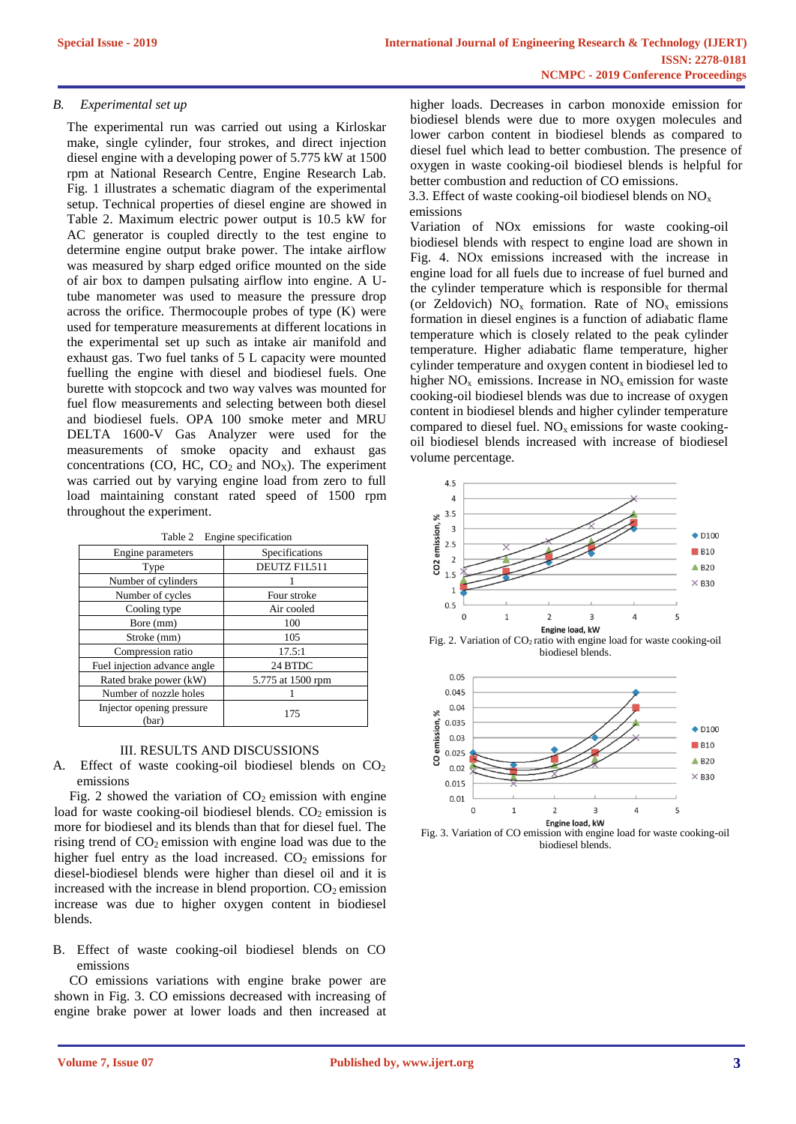# *B. Experimental set up*

The experimental run was carried out using a Kirloskar make, single cylinder, four strokes, and direct injection diesel engine with a developing power of 5.775 kW at 1500 rpm at National Research Centre, Engine Research Lab. Fig. 1 illustrates a schematic diagram of the experimental setup. Technical properties of diesel engine are showed in Table 2. Maximum electric power output is 10.5 kW for AC generator is coupled directly to the test engine to determine engine output brake power. The intake airflow was measured by sharp edged orifice mounted on the side of air box to dampen pulsating airflow into engine. A Utube manometer was used to measure the pressure drop across the orifice. Thermocouple probes of type (K) were used for temperature measurements at different locations in the experimental set up such as intake air manifold and exhaust gas. Two fuel tanks of 5 L capacity were mounted fuelling the engine with diesel and biodiesel fuels. One burette with stopcock and two way valves was mounted for fuel flow measurements and selecting between both diesel and biodiesel fuels. OPA 100 smoke meter and MRU DELTA 1600-V Gas Analyzer were used for the measurements of smoke opacity and exhaust gas concentrations (CO, HC,  $CO<sub>2</sub>$  and NO<sub>X</sub>). The experiment was carried out by varying engine load from zero to full load maintaining constant rated speed of 1500 rpm throughout the experiment.

| Table 2 |  | Engine specification |
|---------|--|----------------------|
|---------|--|----------------------|

| Engine parameters                  | Specifications    |  |
|------------------------------------|-------------------|--|
| Type                               | DEUTZ F1L511      |  |
| Number of cylinders                |                   |  |
| Number of cycles                   | Four stroke       |  |
| Cooling type                       | Air cooled        |  |
| Bore (mm)                          | 100               |  |
| Stroke (mm)                        | 105               |  |
| Compression ratio                  | 17.5:1            |  |
| Fuel injection advance angle       | 24 BTDC           |  |
| Rated brake power (kW)             | 5.775 at 1500 rpm |  |
| Number of nozzle holes             |                   |  |
| Injector opening pressure<br>(bar) | 175               |  |

# III. RESULTS AND DISCUSSIONS

A. Effect of waste cooking-oil biodiesel blends on CO<sub>2</sub> emissions

Fig. 2 showed the variation of  $CO<sub>2</sub>$  emission with engine load for waste cooking-oil biodiesel blends.  $CO<sub>2</sub>$  emission is more for biodiesel and its blends than that for diesel fuel. The rising trend of  $CO<sub>2</sub>$  emission with engine load was due to the higher fuel entry as the load increased.  $CO<sub>2</sub>$  emissions for diesel-biodiesel blends were higher than diesel oil and it is increased with the increase in blend proportion.  $CO<sub>2</sub>$  emission increase was due to higher oxygen content in biodiesel blends.

B. Effect of waste cooking-oil biodiesel blends on CO emissions

CO emissions variations with engine brake power are shown in Fig. 3. CO emissions decreased with increasing of engine brake power at lower loads and then increased at higher loads. Decreases in carbon monoxide emission for biodiesel blends were due to more oxygen molecules and lower carbon content in biodiesel blends as compared to diesel fuel which lead to better combustion. The presence of oxygen in waste cooking-oil biodiesel blends is helpful for better combustion and reduction of CO emissions.

3.3. Effect of waste cooking-oil biodiesel blends on  $NO<sub>x</sub>$ emissions

Variation of NOx emissions for waste cooking-oil biodiesel blends with respect to engine load are shown in Fig. 4. NOx emissions increased with the increase in engine load for all fuels due to increase of fuel burned and the cylinder temperature which is responsible for thermal (or Zeldovich)  $NO<sub>x</sub>$  formation. Rate of  $NO<sub>x</sub>$  emissions formation in diesel engines is a function of adiabatic flame temperature which is closely related to the peak cylinder temperature. Higher adiabatic flame temperature, higher cylinder temperature and oxygen content in biodiesel led to higher  $NO<sub>x</sub>$  emissions. Increase in  $NO<sub>x</sub>$  emission for waste cooking-oil biodiesel blends was due to increase of oxygen content in biodiesel blends and higher cylinder temperature compared to diesel fuel.  $NO<sub>x</sub>$  emissions for waste cookingoil biodiesel blends increased with increase of biodiesel volume percentage.



Fig. 2. Variation of CO2 ratio with engine load for waste cooking-oil biodiesel blends.



Fig. 3. Variation of CO emission with engine load for waste cooking-oil biodiesel blends.